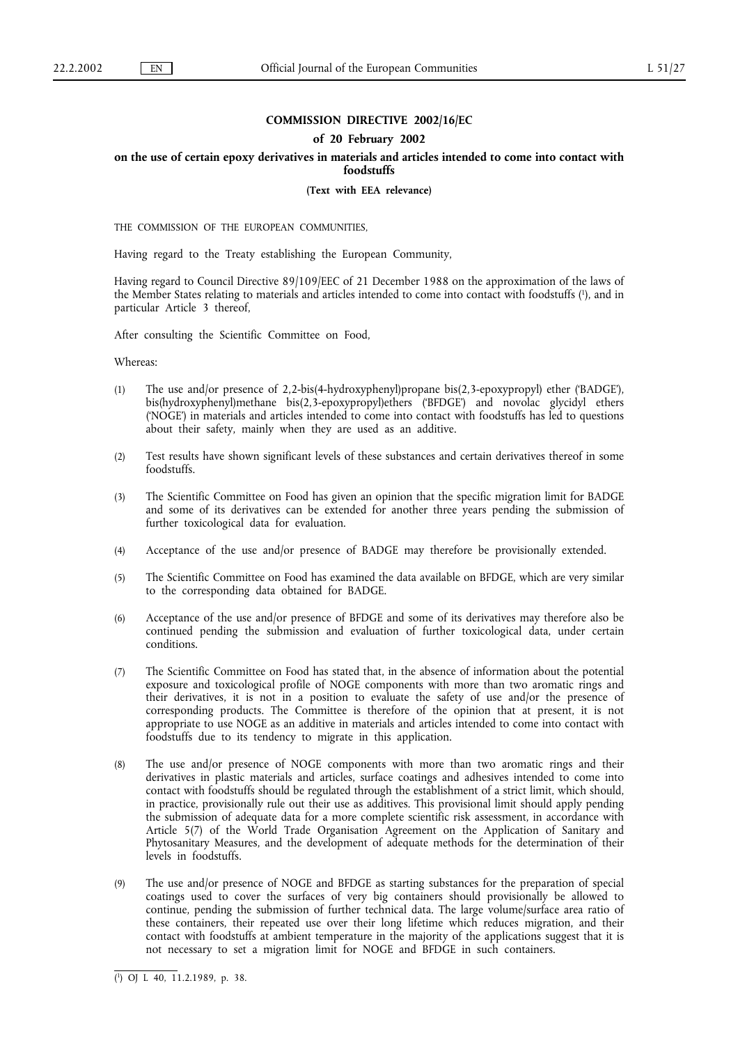# **COMMISSION DIRECTIVE 2002/16/EC**

## **of 20 February 2002**

# **on the use of certain epoxy derivatives in materials and articles intended to come into contact with foodstuffs**

**(Text with EEA relevance)**

THE COMMISSION OF THE EUROPEAN COMMUNITIES,

Having regard to the Treaty establishing the European Community,

Having regard to Council Directive 89/109/EEC of 21 December 1988 on the approximation of the laws of the Member States relating to materials and articles intended to come into contact with foodstuffs (1), and in particular Article 3 thereof,

After consulting the Scientific Committee on Food,

Whereas:

- (1) The use and/or presence of 2,2-bis(4-hydroxyphenyl)propane bis(2,3-epoxypropyl) ether ('BADGE'), bis(hydroxyphenyl)methane bis(2,3-epoxypropyl)ethers ('BFDGE') and novolac glycidyl ethers ('NOGE') in materials and articles intended to come into contact with foodstuffs has led to questions about their safety, mainly when they are used as an additive.
- (2) Test results have shown significant levels of these substances and certain derivatives thereof in some foodstuffs.
- (3) The Scientific Committee on Food has given an opinion that the specific migration limit for BADGE and some of its derivatives can be extended for another three years pending the submission of further toxicological data for evaluation.
- (4) Acceptance of the use and/or presence of BADGE may therefore be provisionally extended.
- (5) The Scientific Committee on Food has examined the data available on BFDGE, which are very similar to the corresponding data obtained for BADGE.
- (6) Acceptance of the use and/or presence of BFDGE and some of its derivatives may therefore also be continued pending the submission and evaluation of further toxicological data, under certain conditions.
- (7) The Scientific Committee on Food has stated that, in the absence of information about the potential exposure and toxicological profile of NOGE components with more than two aromatic rings and their derivatives, it is not in a position to evaluate the safety of use and/or the presence of corresponding products. The Committee is therefore of the opinion that at present, it is not appropriate to use NOGE as an additive in materials and articles intended to come into contact with foodstuffs due to its tendency to migrate in this application.
- (8) The use and/or presence of NOGE components with more than two aromatic rings and their derivatives in plastic materials and articles, surface coatings and adhesives intended to come into contact with foodstuffs should be regulated through the establishment of a strict limit, which should, in practice, provisionally rule out their use as additives. This provisional limit should apply pending the submission of adequate data for a more complete scientific risk assessment, in accordance with Article 5(7) of the World Trade Organisation Agreement on the Application of Sanitary and Phytosanitary Measures, and the development of adequate methods for the determination of their levels in foodstuffs.
- (9) The use and/or presence of NOGE and BFDGE as starting substances for the preparation of special coatings used to cover the surfaces of very big containers should provisionally be allowed to continue, pending the submission of further technical data. The large volume/surface area ratio of these containers, their repeated use over their long lifetime which reduces migration, and their contact with foodstuffs at ambient temperature in the majority of the applications suggest that it is not necessary to set a migration limit for NOGE and BFDGE in such containers.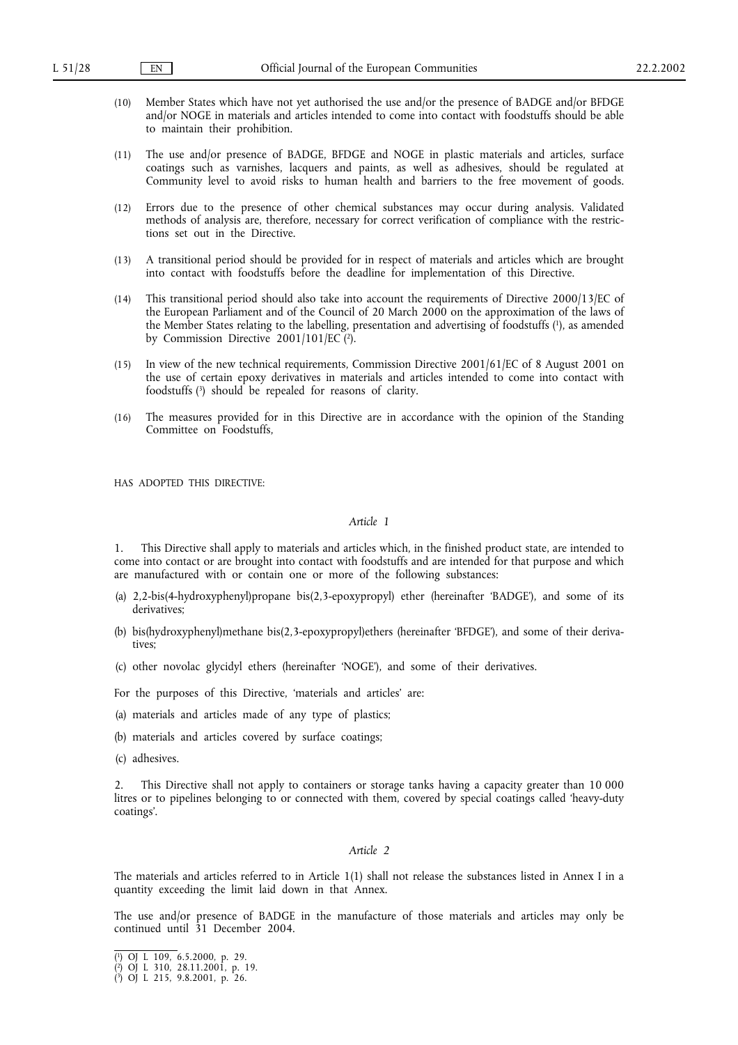- (10) Member States which have not yet authorised the use and/or the presence of BADGE and/or BFDGE and/or NOGE in materials and articles intended to come into contact with foodstuffs should be able to maintain their prohibition.
- (11) The use and/or presence of BADGE, BFDGE and NOGE in plastic materials and articles, surface coatings such as varnishes, lacquers and paints, as well as adhesives, should be regulated at Community level to avoid risks to human health and barriers to the free movement of goods.
- (12) Errors due to the presence of other chemical substances may occur during analysis. Validated methods of analysis are, therefore, necessary for correct verification of compliance with the restrictions set out in the Directive.
- (13) A transitional period should be provided for in respect of materials and articles which are brought into contact with foodstuffs before the deadline for implementation of this Directive.
- (14) This transitional period should also take into account the requirements of Directive 2000/13/EC of the European Parliament and of the Council of 20 March 2000 on the approximation of the laws of the Member States relating to the labelling, presentation and advertising of foodstuffs (1), as amended by Commission Directive  $2001/101/EC$  (2).
- (15) In view of the new technical requirements, Commission Directive 2001/61/EC of 8 August 2001 on the use of certain epoxy derivatives in materials and articles intended to come into contact with foodstuffs (3) should be repealed for reasons of clarity.
- (16) The measures provided for in this Directive are in accordance with the opinion of the Standing Committee on Foodstuffs,

HAS ADOPTED THIS DIRECTIVE:

## *Article 1*

1. This Directive shall apply to materials and articles which, in the finished product state, are intended to come into contact or are brought into contact with foodstuffs and are intended for that purpose and which are manufactured with or contain one or more of the following substances:

- (a) 2,2-bis(4-hydroxyphenyl)propane bis(2,3-epoxypropyl) ether (hereinafter 'BADGE'), and some of its derivatives;
- (b) bis(hydroxyphenyl)methane bis(2,3-epoxypropyl)ethers (hereinafter 'BFDGE'), and some of their derivatives;
- (c) other novolac glycidyl ethers (hereinafter 'NOGE'), and some of their derivatives.
- For the purposes of this Directive, 'materials and articles' are:
- (a) materials and articles made of any type of plastics;
- (b) materials and articles covered by surface coatings;
- (c) adhesives.

2. This Directive shall not apply to containers or storage tanks having a capacity greater than 10 000 litres or to pipelines belonging to or connected with them, covered by special coatings called 'heavy-duty coatings'.

## *Article 2*

The materials and articles referred to in Article 1(1) shall not release the substances listed in Annex Iin a quantity exceeding the limit laid down in that Annex.

The use and/or presence of BADGE in the manufacture of those materials and articles may only be continued until 31 December 2004.

<sup>(</sup> 1) OJ L 109, 6.5.2000, p. 29.

<sup>(</sup> 2) OJ L 310, 28.11.2001, p. 19.

<sup>(</sup> 3) OJ L 215, 9.8.2001, p. 26.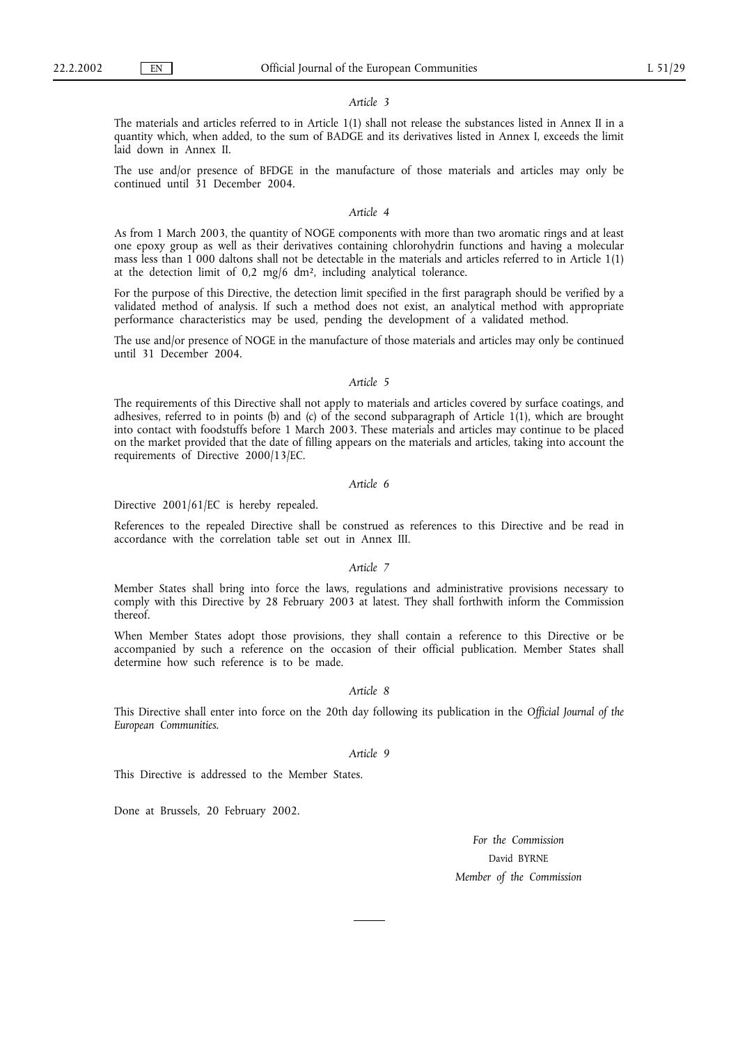#### *Article 3*

The materials and articles referred to in Article 1(1) shall not release the substances listed in Annex II in a quantity which, when added, to the sum of BADGE and its derivatives listed in Annex I, exceeds the limit laid down in Annex II.

The use and/or presence of BFDGE in the manufacture of those materials and articles may only be continued until 31 December 2004.

#### *Article 4*

As from 1 March 2003, the quantity of NOGE components with more than two aromatic rings and at least one epoxy group as well as their derivatives containing chlorohydrin functions and having a molecular mass less than 1 000 daltons shall not be detectable in the materials and articles referred to in Article 1(1) at the detection limit of 0,2 mg/6 dm², including analytical tolerance.

For the purpose of this Directive, the detection limit specified in the first paragraph should be verified by a validated method of analysis. If such a method does not exist, an analytical method with appropriate performance characteristics may be used, pending the development of a validated method.

The use and/or presence of NOGE in the manufacture of those materials and articles may only be continued until 31 December 2004.

#### *Article 5*

The requirements of this Directive shall not apply to materials and articles covered by surface coatings, and adhesives, referred to in points (b) and (c) of the second subparagraph of Article 1(1), which are brought into contact with foodstuffs before 1 March 2003. These materials and articles may continue to be placed on the market provided that the date of filling appears on the materials and articles, taking into account the requirements of Directive 2000/13/EC.

# *Article 6*

Directive 2001/61/EC is hereby repealed.

References to the repealed Directive shall be construed as references to this Directive and be read in accordance with the correlation table set out in Annex III.

## *Article 7*

Member States shall bring into force the laws, regulations and administrative provisions necessary to comply with this Directive by 28 February 2003 at latest. They shall forthwith inform the Commission thereof.

When Member States adopt those provisions, they shall contain a reference to this Directive or be accompanied by such a reference on the occasion of their official publication. Member States shall determine how such reference is to be made.

# *Article 8*

This Directive shall enter into force on the 20th day following its publication in the *Official Journal of the European Communities*.

## *Article 9*

This Directive is addressed to the Member States.

Done at Brussels, 20 February 2002.

*For the Commission* David BYRNE *Member of the Commission*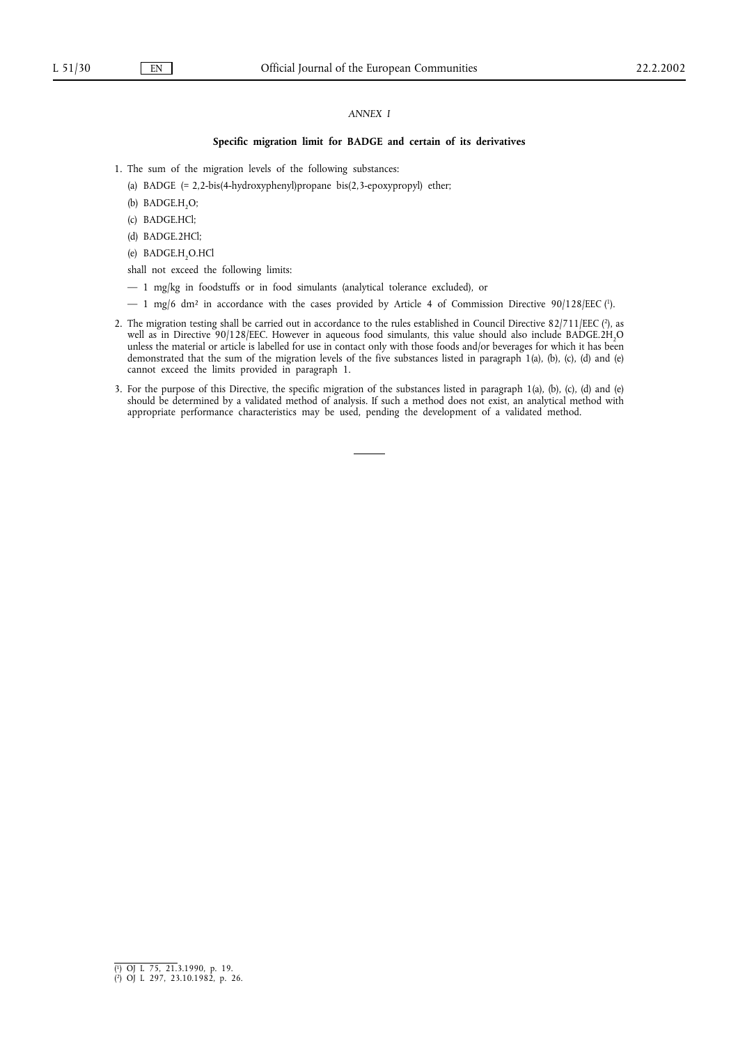## *ANNEX I*

## **Specific migration limit for BADGE and certain of its derivatives**

- 1. The sum of the migration levels of the following substances:
	- (a) BADGE (= 2,2-bis(4-hydroxyphenyl)propane bis(2,3-epoxypropyl) ether;
	- (b) BADGE.H<sub>2</sub>O;
	- (c) BADGE.HCl;
	- (d) BADGE.2HCl;
	- (e) BADGE.H<sub>2</sub>O.HCl

shall not exceed the following limits:

- 1 mg/kg in foodstuffs or in food simulants (analytical tolerance excluded), or
- $-1$  mg/6 dm<sup>2</sup> in accordance with the cases provided by Article 4 of Commission Directive 90/128/EEC (<sup>1</sup>).
- 2. The migration testing shall be carried out in accordance to the rules established in Council Directive 82/711/EEC (2), as well as in Directive 90/128/EEC. However in aqueous food simulants, this value should also include BADGE.2H<sub>2</sub>O unless the material or article is labelled for use in contact only with those foods and/or beverages for which it has been demonstrated that the sum of the migration levels of the five substances listed in paragraph 1(a), (b), (c), (d) and (e) cannot exceed the limits provided in paragraph 1.
- 3. For the purpose of this Directive, the specific migration of the substances listed in paragraph 1(a), (b), (c), (d) and (e) should be determined by a validated method of analysis. If such a method does not exist, an analytical method with appropriate performance characteristics may be used, pending the development of a validated method.

<sup>(</sup> 1) OJ L 75, 21.3.1990, p. 19. ( 2) OJ L 297, 23.10.1982, p. 26.